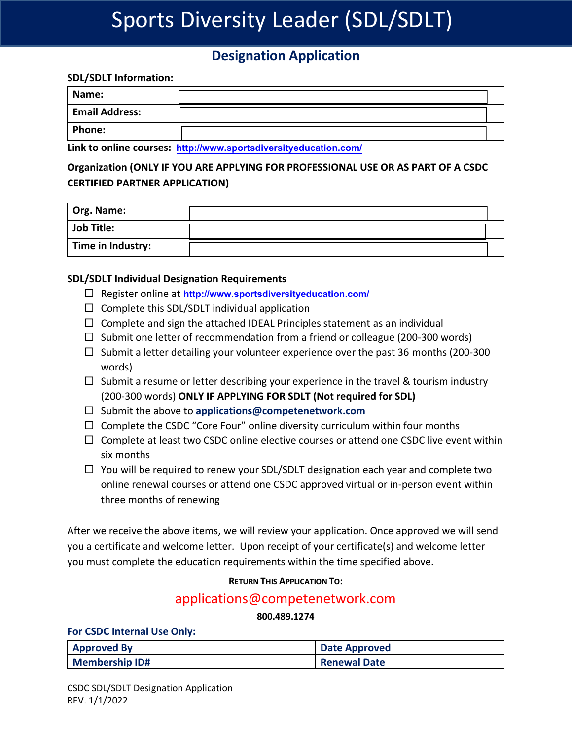# Sports Diversity Leader (SDL/SDLT)

# **Designation Application**

### **SDL/SDLT Information:**

| Name:                 |  |  |
|-----------------------|--|--|
| <b>Email Address:</b> |  |  |
| <b>Phone:</b>         |  |  |

**Link to online courses: <http://www.sportsdiversityeducation.com/>**

## **Organization (ONLY IF YOU ARE APPLYING FOR PROFESSIONAL USE OR AS PART OF A CSDC CERTIFIED PARTNER APPLICATION)**

| <sup>'</sup> Org. Name: |  |
|-------------------------|--|
| <b>Job Title:</b>       |  |
| Time in Industry:       |  |

### **SDL/SDLT Individual Designation Requirements**

- Register online at **<http://www.sportsdiversityeducation.com/>**
- $\Box$  Complete this SDL/SDLT individual application
- $\Box$  Complete and sign the attached IDEAL Principles statement as an individual
- $\Box$  Submit one letter of recommendation from a friend or colleague (200-300 words)
- $\Box$  Submit a letter detailing your volunteer experience over the past 36 months (200-300 words)
- $\Box$  Submit a resume or letter describing your experience in the travel & tourism industry (200-300 words) **ONLY IF APPLYING FOR SDLT (Not required for SDL)**
- □ Submit the above to [applications@competenetwork.com](mailto:applications@competenetwork.com)
- $\Box$  Complete the CSDC "Core Four" online diversity curriculum within four months
- $\Box$  Complete at least two CSDC online elective courses or attend one CSDC live event within six months
- $\Box$  You will be required to renew your SDL/SDLT designation each year and complete two online renewal courses or attend one CSDC approved virtual or in-person event within three months of renewing

After we receive the above items, we will review your application. Once approved we will send you a certificate and welcome letter. Upon receipt of your certificate(s) and welcome letter you must complete the education requirements within the time specified above.

### **RETURN THIS APPLICATION TO:**

### [applications@competenetwork.com](mailto:applications@competenetwork.com800.489.1274)

### **800.489.1274**

### **For CSDC Internal Use Only:**

| <b>Approved By</b>    | <b>Date Approved</b> |  |
|-----------------------|----------------------|--|
| <b>Membership ID#</b> | <b>Renewal Date</b>  |  |